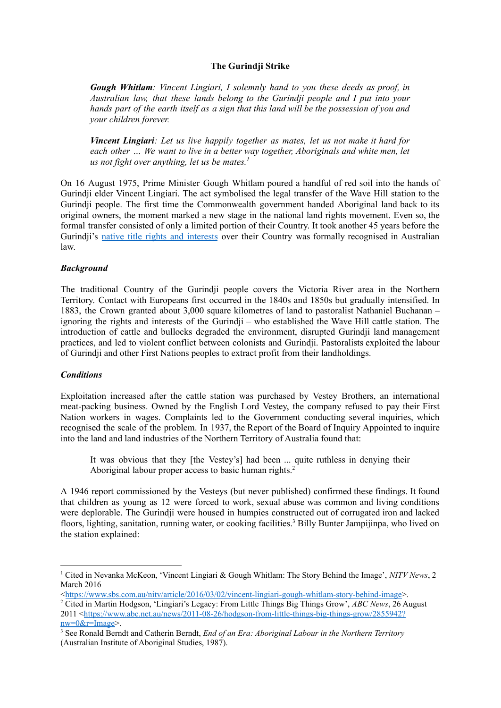# **The Gurindji Strike**

*Gough Whitlam: Vincent Lingiari, I solemnly hand to you these deeds as proof, in Australian law, that these lands belong to the Gurindji people and I put into your hands part of the earth itself as a sign that this land will be the possession of you and your children forever.*

*Vincent Lingiari: Let us live happily together as mates, let us not make it hard for each other … We want to live in a better way together, Aboriginals and white men, let us not fight over anything, let us be mates. 1*

On 16 August 1975, Prime Minister Gough Whitlam poured a handful of red soil into the hands of Gurindji elder Vincent Lingiari. The act symbolised the legal transfer of the Wave Hill station to the Gurindji people. The first time the Commonwealth government handed Aboriginal land back to its original owners, the moment marked a new stage in the national land rights movement. Even so, the formal transfer consisted of only a limited portion of their Country. It took another 45 years before the Gurindji's native title rights and [interests](https://www.sbs.com.au/nitv/article/2020/09/09/native-title-rights-recognised-over-famous-wave-hill-station) over their Country was formally recognised in Australian law.

# *Background*

The traditional Country of the Gurindji people covers the Victoria River area in the Northern Territory. Contact with Europeans first occurred in the 1840s and 1850s but gradually intensified. In 1883, the Crown granted about 3,000 square kilometres of land to pastoralist Nathaniel Buchanan – ignoring the rights and interests of the Gurindji – who established the Wave Hill cattle station. The introduction of cattle and bullocks degraded the environment, disrupted Gurindji land management practices, and led to violent conflict between colonists and Gurindji. Pastoralists exploited the labour of Gurindji and other First Nations peoples to extract profit from their landholdings.

# *Conditions*

Exploitation increased after the cattle station was purchased by Vestey Brothers, an international meat-packing business. Owned by the English Lord Vestey, the company refused to pay their First Nation workers in wages. Complaints led to the Government conducting several inquiries, which recognised the scale of the problem. In 1937, the Report of the Board of Inquiry Appointed to inquire into the land and land industries of the Northern Territory of Australia found that:

It was obvious that they [the Vestey's] had been ... quite ruthless in denying their Aboriginal labour proper access to basic human rights. 2

A 1946 report commissioned by the Vesteys (but never published) confirmed these findings. It found that children as young as 12 were forced to work, sexual abuse was common and living conditions were deplorable. The Gurindji were housed in humpies constructed out of corrugated iron and lacked floors, lighting, sanitation, running water, or cooking facilities. <sup>3</sup> Billy Bunter Jampijinpa, who lived on the station explained:

<sup>1</sup> Cited in Nevanka McKeon, 'Vincent Lingiari & Gough Whitlam: The Story Behind the Image', *NITV News*, 2 March 2016

<sup>&</sup>lt;<https://www.sbs.com.au/nitv/article/2016/03/02/vincent-lingiari-gough-whitlam-story-behind-image>>.

<sup>2</sup> Cited in Martin Hodgson, 'Lingiari's Legacy: From Little Things Big Things Grow', *ABC News*, 26 August 2011 <[https://www.abc.net.au/news/2011-08-26/hodgson-from-little-things-big-things-grow/2855942?](https://www.abc.net.au/news/2011-08-26/hodgson-from-little-things-big-things-grow/2855942?nw=0&r=Image) [nw=0&r=Image>](https://www.abc.net.au/news/2011-08-26/hodgson-from-little-things-big-things-grow/2855942?nw=0&r=Image).

<sup>3</sup> See Ronald Berndt and Catherin Berndt, *End of an Era: Aboriginal Labour in the Northern Territory* (Australian Institute of Aboriginal Studies, 1987).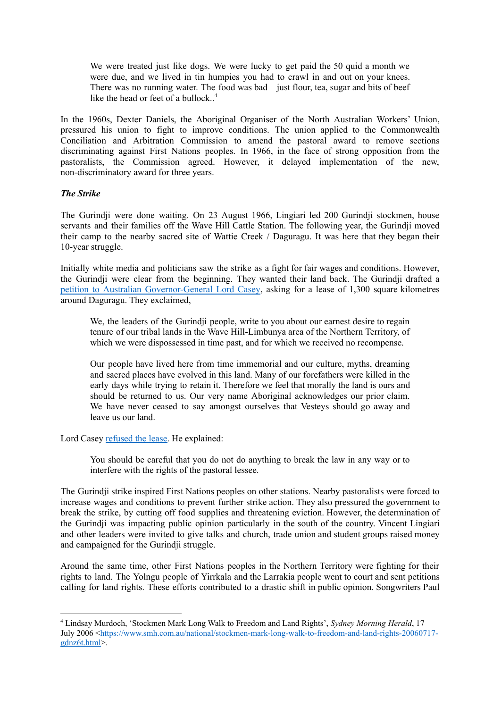We were treated just like dogs. We were lucky to get paid the 50 quid a month we were due, and we lived in tin humpies you had to crawl in and out on your knees. There was no running water. The food was bad – just flour, tea, sugar and bits of beef like the head or feet of a bullock.. 4

In the 1960s, Dexter Daniels, the Aboriginal Organiser of the North Australian Workers' Union, pressured his union to fight to improve conditions. The union applied to the Commonwealth Conciliation and Arbitration Commission to amend the pastoral award to remove sections discriminating against First Nations peoples. In 1966, in the face of strong opposition from the pastoralists, the Commission agreed. However, it delayed implementation of the new, non-discriminatory award for three years.

# *The Strike*

The Gurindji were done waiting. On 23 August 1966, Lingiari led 200 Gurindji stockmen, house servants and their families off the Wave Hill Cattle Station. The following year, the Gurindji moved their camp to the nearby sacred site of Wattie Creek / Daguragu. It was here that they began their 10-year struggle.

Initially white media and politicians saw the strike as a fight for fair wages and conditions. However, the Gurindji were clear from the beginning. They wanted their land back. The Gurindji drafted a petition to Australian [Governor-General](https://www.nma.gov.au/__data/assets/pdf_file/0007/698308/petition-to-lord-casey.pdf) Lord Casey, asking for a lease of 1,300 square kilometres around Daguragu. They exclaimed,

We, the leaders of the Gurindji people, write to you about our earnest desire to regain tenure of our tribal lands in the Wave Hill-Limbunya area of the Northern Territory, of which we were dispossessed in time past, and for which we received no recompense.

Our people have lived here from time immemorial and our culture, myths, dreaming and sacred places have evolved in this land. Many of our forefathers were killed in the early days while trying to retain it. Therefore we feel that morally the land is ours and should be returned to us. Our very name Aboriginal acknowledges our prior claim. We have never ceased to say amongst ourselves that Vesteys should go away and leave us our land.

Lord Casey [refused](https://www.nma.gov.au/__data/assets/pdf_file/0008/698309/response-to-the-gurindji-petition.pdf) the lease. He explained:

You should be careful that you do not do anything to break the law in any way or to interfere with the rights of the pastoral lessee.

The Gurindji strike inspired First Nations peoples on other stations. Nearby pastoralists were forced to increase wages and conditions to prevent further strike action. They also pressured the government to break the strike, by cutting off food supplies and threatening eviction. However, the determination of the Gurindji was impacting public opinion particularly in the south of the country. Vincent Lingiari and other leaders were invited to give talks and church, trade union and student groups raised money and campaigned for the Gurindji struggle.

Around the same time, other First Nations peoples in the Northern Territory were fighting for their rights to land. The Yolngu people of Yirrkala and the Larrakia people went to court and sent petitions calling for land rights. These efforts contributed to a drastic shift in public opinion. Songwriters Paul

<sup>4</sup> Lindsay Murdoch, 'Stockmen Mark Long Walk to Freedom and Land Rights', *Sydney Morning Herald*, 17 July 2006 [<https://www.smh.com.au/national/stockmen-mark-long-walk-to-freedom-and-land-rights-20060717](https://www.smh.com.au/national/stockmen-mark-long-walk-to-freedom-and-land-rights-20060717-gdnz6t.html) [gdnz6t.html](https://www.smh.com.au/national/stockmen-mark-long-walk-to-freedom-and-land-rights-20060717-gdnz6t.html)>.